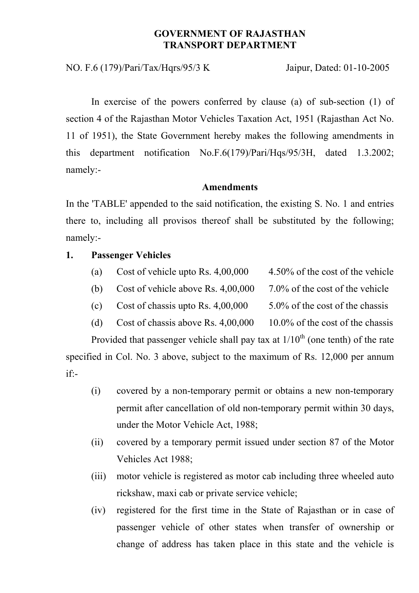## **GOVERNMENT OF RAJASTHAN TRANSPORT DEPARTMENT**

NO. F.6 (179)/Pari/Tax/Hqrs/95/3 K Jaipur, Dated: 01-10-2005

In exercise of the powers conferred by clause (a) of sub-section (1) of section 4 of the Rajasthan Motor Vehicles Taxation Act, 1951 (Rajasthan Act No. 11 of 1951), the State Government hereby makes the following amendments in this department notification No.F.6(179)/Pari/Hqs/95/3H, dated 1.3.2002; namely:-

#### **Amendments**

In the 'TABLE' appended to the said notification, the existing S. No. 1 and entries there to, including all provisos thereof shall be substituted by the following; namely:-

#### **1. Passenger Vehicles**

- (a) Cost of vehicle upto Rs. 4,00,000 4.50% of the cost of the vehicle
- (b) Cost of vehicle above Rs. 4,00,000 7.0% of the cost of the vehicle
	-
- (c) Cost of chassis upto Rs.  $4.00,000$  5.0% of the cost of the chassis
- (d) Cost of chassis above Rs.  $4,00,000$  10.0% of the cost of the chassis

Provided that passenger vehicle shall pay tax at  $1/10<sup>th</sup>$  (one tenth) of the rate

specified in Col. No. 3 above, subject to the maximum of Rs. 12,000 per annum if:-

- (i) covered by a non-temporary permit or obtains a new non-temporary permit after cancellation of old non-temporary permit within 30 days, under the Motor Vehicle Act, 1988;
- (ii) covered by a temporary permit issued under section 87 of the Motor Vehicles Act 1988;
- (iii) motor vehicle is registered as motor cab including three wheeled auto rickshaw, maxi cab or private service vehicle;
- (iv) registered for the first time in the State of Rajasthan or in case of passenger vehicle of other states when transfer of ownership or change of address has taken place in this state and the vehicle is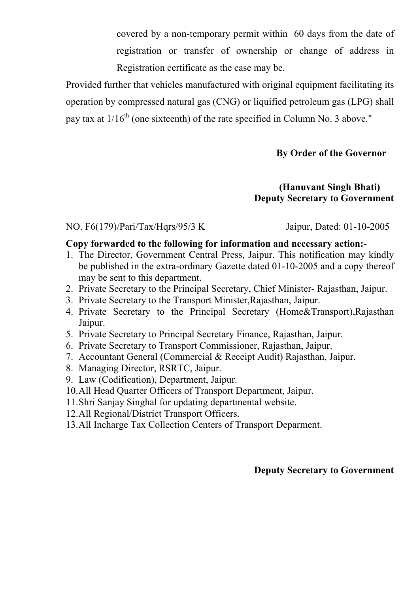covered by a non-temporary permit within 60 days from the date of registration or transfer of ownership or change of address in Registration certificate as the case may be.

Provided further that vehicles manufactured with original equipment facilitating its operation by compressed natural gas (CNG) or liquified petroleum gas (LPG) shall pay tax at  $1/16^{th}$  (one sixteenth) of the rate specified in Column No. 3 above."

# **By Order of the Governor**

## **(Hanuvant Singh Bhati) Deputy Secretary to Government**

NO. F6(179)/Pari/Tax/Hqrs/95/3 K Jaipur, Dated: 01-10-2005

### **Copy forwarded to the following for information and necessary action:-**

- 1. The Director, Government Central Press, Jaipur. This notification may kindly be published in the extra-ordinary Gazette dated 01-10-2005 and a copy thereof may be sent to this department.
- 2. Private Secretary to the Principal Secretary, Chief Minister- Rajasthan, Jaipur.
- 3. Private Secretary to the Transport Minister,Rajasthan, Jaipur.
- 4. Private Secretary to the Principal Secretary (Home&Transport),Rajasthan Jaipur.
- 5. Private Secretary to Principal Secretary Finance, Rajasthan, Jaipur.
- 6. Private Secretary to Transport Commissioner, Rajasthan, Jaipur.
- 7. Accountant General (Commercial & Receipt Audit) Rajasthan, Jaipur.
- 8. Managing Director, RSRTC, Jaipur.
- 9. Law (Codification), Department, Jaipur.
- 10.All Head Quarter Officers of Transport Department, Jaipur.
- 11.Shri Sanjay Singhal for updating departmental website.
- 12.All Regional/District Transport Officers.
- 13.All Incharge Tax Collection Centers of Transport Deparment.

# **Deputy Secretary to Government**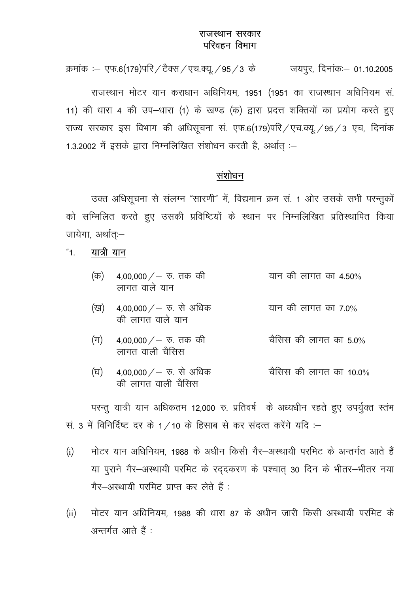### राजस्थान सरकार परिवहन विभाग

क्रमांक :- एफ.6(179)परि / टैक्स / एच.क्यू. / 95 / 3 के जयपूर, दिनांक:- 01.10.2005

राजस्थान मोटर यान कराधान अधिनियम, 1951 (1951 का राजस्थान अधिनियम सं. 11) की धारा 4 की उप-धारा (1) के खण्ड (क) द्वारा प्रदत्त शक्तियों का प्रयोग करते हुए राज्य सरकार इस विभाग की अधिसूचना सं. एफ.6(179)परि / एच.क्यू. / 95 / 3 एच, दिनांक 1.3.2002 में इसके द्वारा निम्नलिखित संशोधन करती है, अर्थात :-

## संशोधन

उक्त अधिसूचना से संलग्न "सारणी" में, विद्यमान क्रम सं. 1 ओर उसके सभी परन्तुकों को सम्मिलित करते हुए उसकी प्रविष्टियों के स्थान पर निम्नलिखित प्रतिस्थापित किया जायेगा, अर्थातः-

#### यात्री यान  $"1$ .

| $(\overline{\sigma})$ 4,00,000 / – रु. तक की |  |  | यान की लागत का 4.50% |
|----------------------------------------------|--|--|----------------------|
| लागत वाले यान                                |  |  |                      |

- 4,00,000 / रु. से अधिक यान की लागत का 7.0% (ख) की लागत वाले यान
- 4,00,000  $/$   $\overline{v}$ . तक की चैसिस की लागत का 50%  $(\pi)$ लागत वाली चैसिस
- 4,00,000  $/$  रु. से अधिक चैसिस की लागत का 10.0% (घ) की लागत वाली चैसिस

परन्तु यात्री यान अधिकतम 12,000 रु. प्रतिवर्ष के अध्यधीन रहते हुए उपर्युक्त स्तंभ सं. 3 में विनिर्दिष्ट दर के 1/10 के हिसाब से कर संदत्त करेंगे यदि :-

- मोटर यान अधिनियम 1988 के अधीन किसी गैर-अस्थायी परमिट के अन्तर्गत आते हैं  $(i)$ या पुराने गैर-अस्थायी परमिट के रद्दकरण के पश्चात् 30 दिन के भीतर-भीतर नया गैर-अस्थायी परमिट प्राप्त कर लेते हैं :
- मोटर यान अधिनियम 1988 की धारा 87 के अधीन जारी किसी अस्थायी परमिट के  $(ii)$ अन्तर्गत आते हैं :